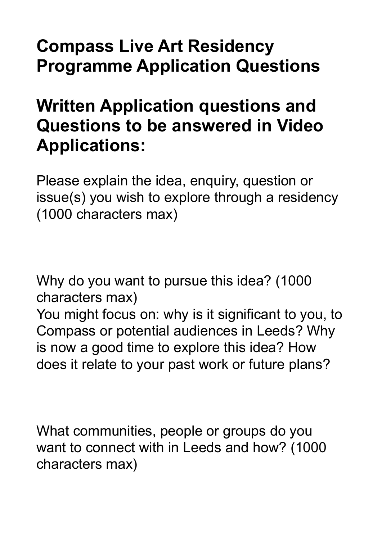## **Compass Live Art Residency Programme Application Questions**

## **Written Application questions and Questions to be answered in Video Applications:**

Please explain the idea, enquiry, question or issue(s) you wish to explore through a residency (1000 characters max)

Why do you want to pursue this idea? (1000 characters max) You might focus on: why is it significant to you, to Compass or potential audiences in Leeds? Why is now a good time to explore this idea? How does it relate to your past work or future plans?

What communities, people or groups do you want to connect with in Leeds and how? (1000 characters max)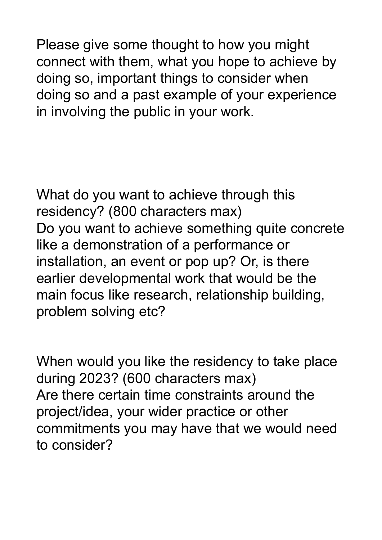Please give some thought to how you might connect with them, what you hope to achieve by doing so, important things to consider when doing so and a past example of your experience in involving the public in your work.

What do you want to achieve through this residency? (800 characters max) Do you want to achieve something quite concrete like a demonstration of a performance or installation, an event or pop up? Or, is there earlier developmental work that would be the main focus like research, relationship building, problem solving etc?

When would you like the residency to take place during 2023? (600 characters max) Are there certain time constraints around the project/idea, your wider practice or other commitments you may have that we would need to consider?